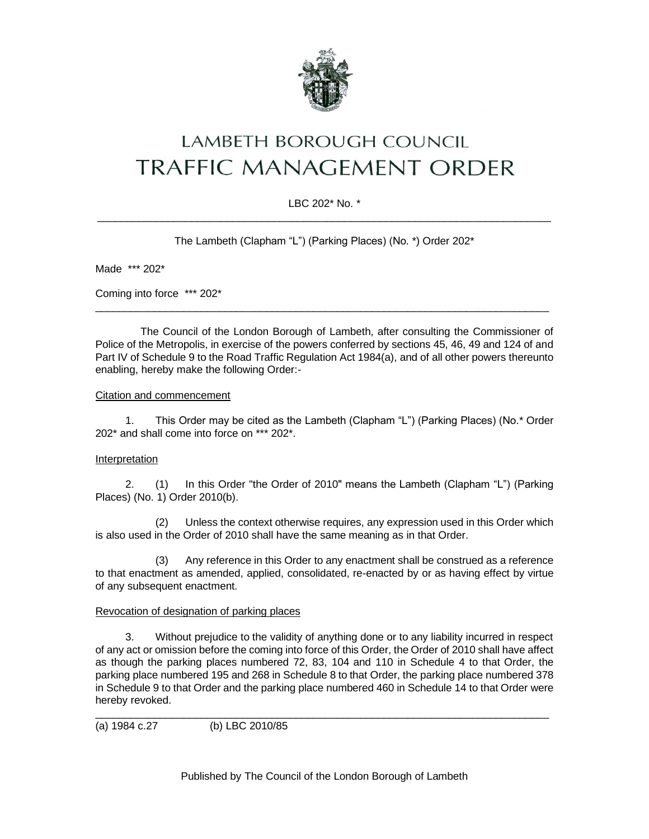

# LAMBETH BOROUGH COUNCIL **TRAFFIC MANAGEMENT ORDER**

# LBC 202\* No. \* \_\_\_\_\_\_\_\_\_\_\_\_\_\_\_\_\_\_\_\_\_\_\_\_\_\_\_\_\_\_\_\_\_\_\_\_\_\_\_\_\_\_\_\_\_\_\_\_\_\_\_\_\_\_\_\_\_\_\_\_\_\_\_\_\_\_\_\_\_\_\_\_\_\_\_\_\_

The Lambeth (Clapham "L") (Parking Places) (No. \*) Order 202\*

Made \*\*\* 202\*

Coming into force \*\*\* 202\*

The Council of the London Borough of Lambeth, after consulting the Commissioner of Police of the Metropolis, in exercise of the powers conferred by sections 45, 46, 49 and 124 of and Part IV of Schedule 9 to the Road Traffic Regulation Act 1984(a), and of all other powers thereunto enabling, hereby make the following Order:-

 $\_$  ,  $\_$  ,  $\_$  ,  $\_$  ,  $\_$  ,  $\_$  ,  $\_$  ,  $\_$  ,  $\_$  ,  $\_$  ,  $\_$  ,  $\_$  ,  $\_$  ,  $\_$  ,  $\_$  ,  $\_$  ,  $\_$  ,  $\_$  ,  $\_$  ,  $\_$  ,  $\_$  ,  $\_$  ,  $\_$  ,  $\_$  ,  $\_$  ,  $\_$  ,  $\_$  ,  $\_$  ,  $\_$  ,  $\_$  ,  $\_$  ,  $\_$  ,  $\_$  ,  $\_$  ,  $\_$  ,  $\_$  ,  $\_$  ,

## Citation and commencement

1. This Order may be cited as the Lambeth (Clapham "L") (Parking Places) (No.\* Order 202\* and shall come into force on \*\*\* 202\*.

# Interpretation

2. (1) In this Order "the Order of 2010" means the Lambeth (Clapham "L") (Parking Places) (No. 1) Order 2010(b).

(2) Unless the context otherwise requires, any expression used in this Order which is also used in the Order of 2010 shall have the same meaning as in that Order.

(3) Any reference in this Order to any enactment shall be construed as a reference to that enactment as amended, applied, consolidated, re-enacted by or as having effect by virtue of any subsequent enactment.

# Revocation of designation of parking places

3. Without prejudice to the validity of anything done or to any liability incurred in respect of any act or omission before the coming into force of this Order, the Order of 2010 shall have affect as though the parking places numbered 72, 83, 104 and 110 in Schedule 4 to that Order, the parking place numbered 195 and 268 in Schedule 8 to that Order, the parking place numbered 378 in Schedule 9 to that Order and the parking place numbered 460 in Schedule 14 to that Order were hereby revoked.

\_\_\_\_\_\_\_\_\_\_\_\_\_\_\_\_\_\_\_\_\_\_\_\_\_\_\_\_\_\_\_\_\_\_\_\_\_\_\_\_\_\_\_\_\_\_\_\_\_\_\_\_\_\_\_\_\_\_\_\_\_\_\_\_\_\_\_\_\_\_\_\_\_\_\_\_\_

(a) 1984 c.27 (b) LBC 2010/85

Published by The Council of the London Borough of Lambeth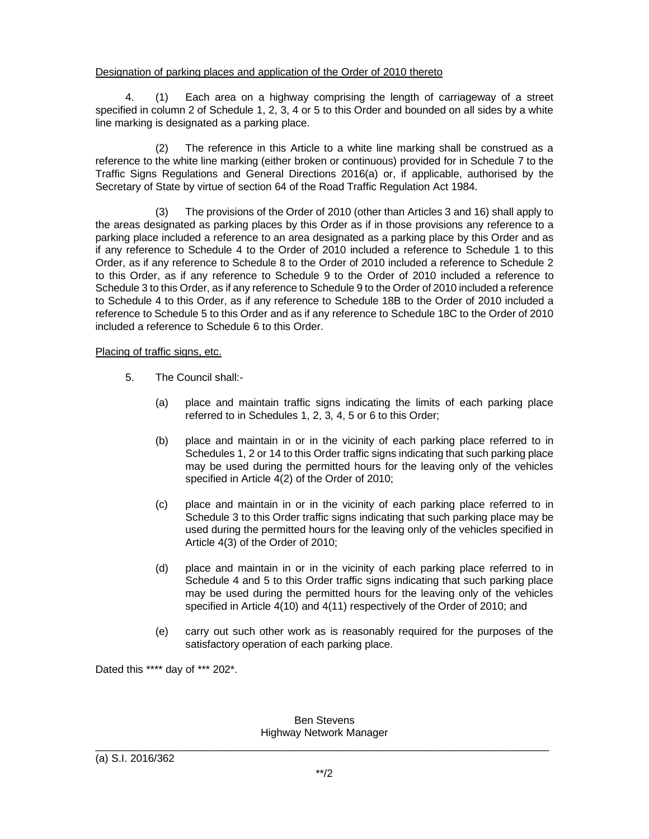## Designation of parking places and application of the Order of 2010 thereto

4. (1) Each area on a highway comprising the length of carriageway of a street specified in column 2 of Schedule 1, 2, 3, 4 or 5 to this Order and bounded on all sides by a white line marking is designated as a parking place.

(2) The reference in this Article to a white line marking shall be construed as a reference to the white line marking (either broken or continuous) provided for in Schedule 7 to the Traffic Signs Regulations and General Directions 2016(a) or, if applicable, authorised by the Secretary of State by virtue of section 64 of the Road Traffic Regulation Act 1984.

(3) The provisions of the Order of 2010 (other than Articles 3 and 16) shall apply to the areas designated as parking places by this Order as if in those provisions any reference to a parking place included a reference to an area designated as a parking place by this Order and as if any reference to Schedule 4 to the Order of 2010 included a reference to Schedule 1 to this Order, as if any reference to Schedule 8 to the Order of 2010 included a reference to Schedule 2 to this Order, as if any reference to Schedule 9 to the Order of 2010 included a reference to Schedule 3 to this Order, as if any reference to Schedule 9 to the Order of 2010 included a reference to Schedule 4 to this Order, as if any reference to Schedule 18B to the Order of 2010 included a reference to Schedule 5 to this Order and as if any reference to Schedule 18C to the Order of 2010 included a reference to Schedule 6 to this Order.

## Placing of traffic signs, etc.

- 5. The Council shall:-
	- (a) place and maintain traffic signs indicating the limits of each parking place referred to in Schedules 1, 2, 3, 4, 5 or 6 to this Order;
	- (b) place and maintain in or in the vicinity of each parking place referred to in Schedules 1, 2 or 14 to this Order traffic signs indicating that such parking place may be used during the permitted hours for the leaving only of the vehicles specified in Article 4(2) of the Order of 2010;
	- (c) place and maintain in or in the vicinity of each parking place referred to in Schedule 3 to this Order traffic signs indicating that such parking place may be used during the permitted hours for the leaving only of the vehicles specified in Article 4(3) of the Order of 2010;
	- (d) place and maintain in or in the vicinity of each parking place referred to in Schedule 4 and 5 to this Order traffic signs indicating that such parking place may be used during the permitted hours for the leaving only of the vehicles specified in Article 4(10) and 4(11) respectively of the Order of 2010; and
	- (e) carry out such other work as is reasonably required for the purposes of the satisfactory operation of each parking place.

Dated this \*\*\*\* day of \*\*\* 202\*.

#### Ben Stevens Highway Network Manager  $\_$  ,  $\_$  ,  $\_$  ,  $\_$  ,  $\_$  ,  $\_$  ,  $\_$  ,  $\_$  ,  $\_$  ,  $\_$  ,  $\_$  ,  $\_$  ,  $\_$  ,  $\_$  ,  $\_$  ,  $\_$  ,  $\_$  ,  $\_$  ,  $\_$  ,  $\_$  ,  $\_$  ,  $\_$  ,  $\_$  ,  $\_$  ,  $\_$  ,  $\_$  ,  $\_$  ,  $\_$  ,  $\_$  ,  $\_$  ,  $\_$  ,  $\_$  ,  $\_$  ,  $\_$  ,  $\_$  ,  $\_$  ,  $\_$  ,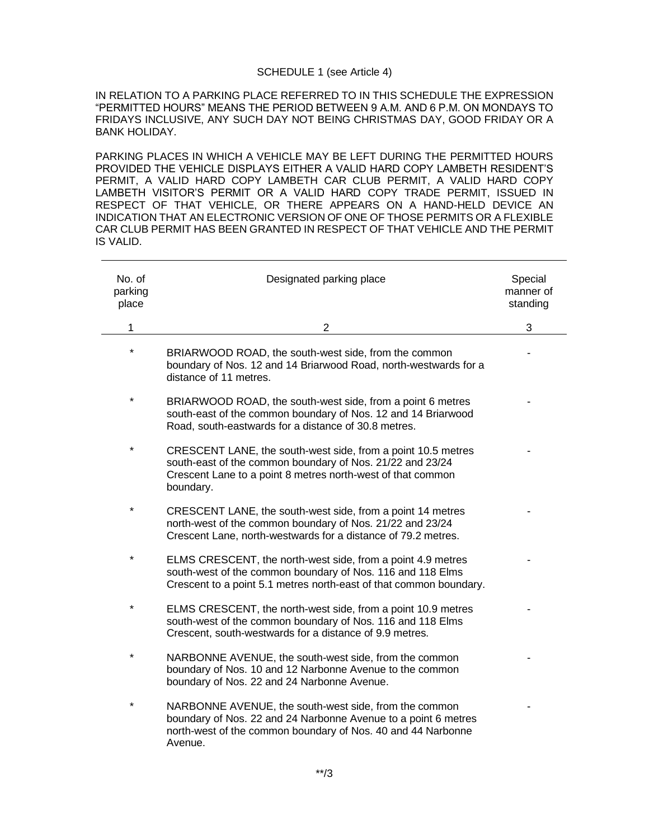#### SCHEDULE 1 (see Article 4)

IN RELATION TO A PARKING PLACE REFERRED TO IN THIS SCHEDULE THE EXPRESSION "PERMITTED HOURS" MEANS THE PERIOD BETWEEN 9 A.M. AND 6 P.M. ON MONDAYS TO FRIDAYS INCLUSIVE, ANY SUCH DAY NOT BEING CHRISTMAS DAY, GOOD FRIDAY OR A BANK HOLIDAY.

PARKING PLACES IN WHICH A VEHICLE MAY BE LEFT DURING THE PERMITTED HOURS PROVIDED THE VEHICLE DISPLAYS EITHER A VALID HARD COPY LAMBETH RESIDENT'S PERMIT, A VALID HARD COPY LAMBETH CAR CLUB PERMIT, A VALID HARD COPY LAMBETH VISITOR'S PERMIT OR A VALID HARD COPY TRADE PERMIT, ISSUED IN RESPECT OF THAT VEHICLE, OR THERE APPEARS ON A HAND-HELD DEVICE AN INDICATION THAT AN ELECTRONIC VERSION OF ONE OF THOSE PERMITS OR A FLEXIBLE CAR CLUB PERMIT HAS BEEN GRANTED IN RESPECT OF THAT VEHICLE AND THE PERMIT IS VALID.

| No. of<br>parking<br>place | Designated parking place                                                                                                                                                                              | Special<br>manner of<br>standing |
|----------------------------|-------------------------------------------------------------------------------------------------------------------------------------------------------------------------------------------------------|----------------------------------|
| 1                          | 2                                                                                                                                                                                                     | 3                                |
| $\star$                    | BRIARWOOD ROAD, the south-west side, from the common<br>boundary of Nos. 12 and 14 Briarwood Road, north-westwards for a<br>distance of 11 metres.                                                    |                                  |
| $\star$                    | BRIARWOOD ROAD, the south-west side, from a point 6 metres<br>south-east of the common boundary of Nos. 12 and 14 Briarwood<br>Road, south-eastwards for a distance of 30.8 metres.                   |                                  |
| $\star$                    | CRESCENT LANE, the south-west side, from a point 10.5 metres<br>south-east of the common boundary of Nos. 21/22 and 23/24<br>Crescent Lane to a point 8 metres north-west of that common<br>boundary. |                                  |
|                            | CRESCENT LANE, the south-west side, from a point 14 metres<br>north-west of the common boundary of Nos. 21/22 and 23/24<br>Crescent Lane, north-westwards for a distance of 79.2 metres.              |                                  |
|                            | ELMS CRESCENT, the north-west side, from a point 4.9 metres<br>south-west of the common boundary of Nos. 116 and 118 Elms<br>Crescent to a point 5.1 metres north-east of that common boundary.       |                                  |
|                            | ELMS CRESCENT, the north-west side, from a point 10.9 metres<br>south-west of the common boundary of Nos. 116 and 118 Elms<br>Crescent, south-westwards for a distance of 9.9 metres.                 |                                  |
| $^\star$                   | NARBONNE AVENUE, the south-west side, from the common<br>boundary of Nos. 10 and 12 Narbonne Avenue to the common<br>boundary of Nos. 22 and 24 Narbonne Avenue.                                      |                                  |
|                            | NARBONNE AVENUE, the south-west side, from the common<br>boundary of Nos. 22 and 24 Narbonne Avenue to a point 6 metres<br>north-west of the common boundary of Nos. 40 and 44 Narbonne<br>Avenue.    |                                  |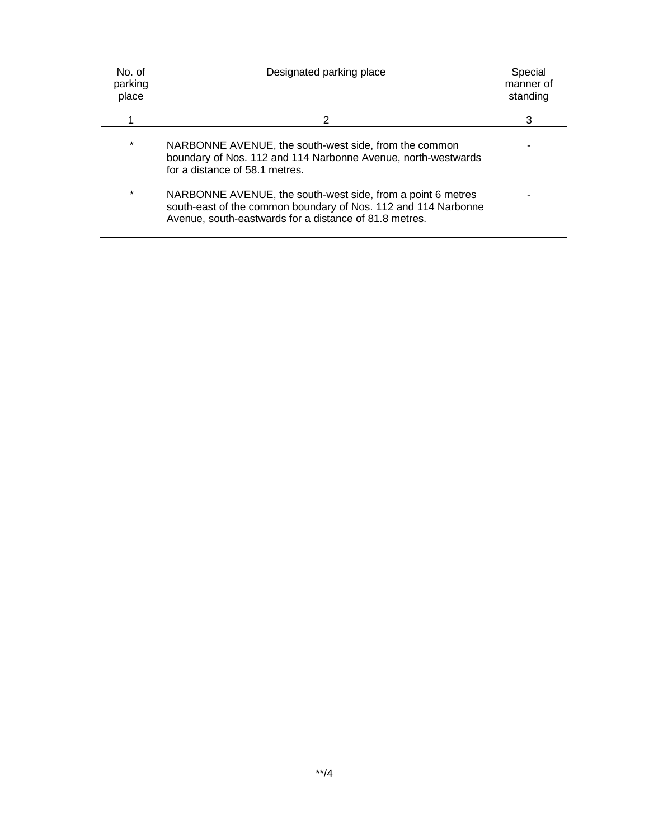| No. of<br>parking<br>place | Designated parking place                                                                                                                                                                | Special<br>manner of<br>standing |
|----------------------------|-----------------------------------------------------------------------------------------------------------------------------------------------------------------------------------------|----------------------------------|
|                            | 2                                                                                                                                                                                       | 3                                |
| $\star$                    | NARBONNE AVENUE, the south-west side, from the common<br>boundary of Nos. 112 and 114 Narbonne Avenue, north-westwards<br>for a distance of 58.1 metres.                                |                                  |
| $\star$                    | NARBONNE AVENUE, the south-west side, from a point 6 metres<br>south-east of the common boundary of Nos. 112 and 114 Narbonne<br>Avenue, south-eastwards for a distance of 81.8 metres. |                                  |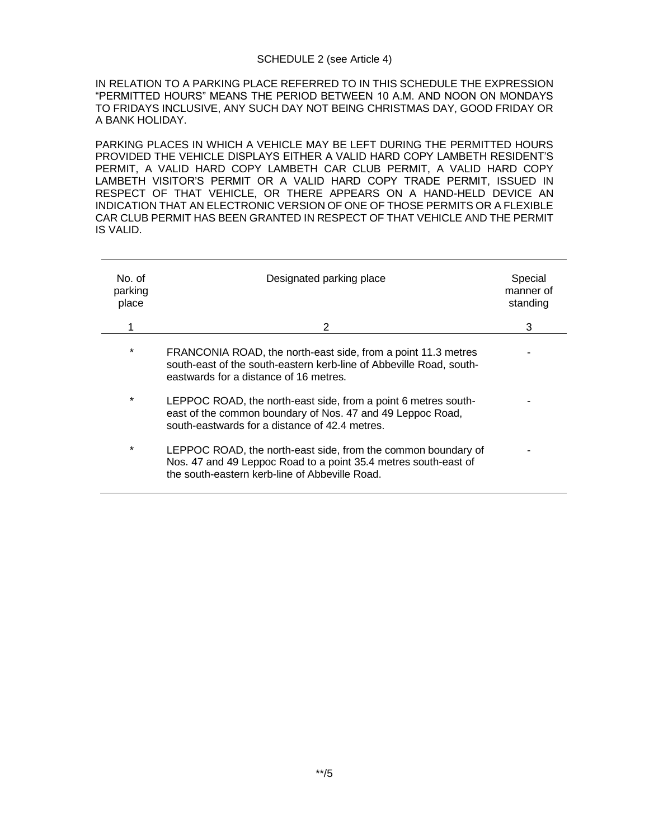### SCHEDULE 2 (see Article 4)

IN RELATION TO A PARKING PLACE REFERRED TO IN THIS SCHEDULE THE EXPRESSION "PERMITTED HOURS" MEANS THE PERIOD BETWEEN 10 A.M. AND NOON ON MONDAYS TO FRIDAYS INCLUSIVE, ANY SUCH DAY NOT BEING CHRISTMAS DAY, GOOD FRIDAY OR A BANK HOLIDAY.

PARKING PLACES IN WHICH A VEHICLE MAY BE LEFT DURING THE PERMITTED HOURS PROVIDED THE VEHICLE DISPLAYS EITHER A VALID HARD COPY LAMBETH RESIDENT'S PERMIT, A VALID HARD COPY LAMBETH CAR CLUB PERMIT, A VALID HARD COPY LAMBETH VISITOR'S PERMIT OR A VALID HARD COPY TRADE PERMIT, ISSUED IN RESPECT OF THAT VEHICLE, OR THERE APPEARS ON A HAND-HELD DEVICE AN INDICATION THAT AN ELECTRONIC VERSION OF ONE OF THOSE PERMITS OR A FLEXIBLE CAR CLUB PERMIT HAS BEEN GRANTED IN RESPECT OF THAT VEHICLE AND THE PERMIT IS VALID.

| No. of<br>parking<br>place | Designated parking place                                                                                                                                                           | Special<br>manner of<br>standing |
|----------------------------|------------------------------------------------------------------------------------------------------------------------------------------------------------------------------------|----------------------------------|
| 1                          | 2                                                                                                                                                                                  | 3                                |
| $\star$                    | FRANCONIA ROAD, the north-east side, from a point 11.3 metres<br>south-east of the south-eastern kerb-line of Abbeville Road, south-<br>eastwards for a distance of 16 metres.     |                                  |
| $\star$                    | LEPPOC ROAD, the north-east side, from a point 6 metres south-<br>east of the common boundary of Nos. 47 and 49 Leppoc Road,<br>south-eastwards for a distance of 42.4 metres.     |                                  |
| $\star$                    | LEPPOC ROAD, the north-east side, from the common boundary of<br>Nos. 47 and 49 Leppoc Road to a point 35.4 metres south-east of<br>the south-eastern kerb-line of Abbeville Road. |                                  |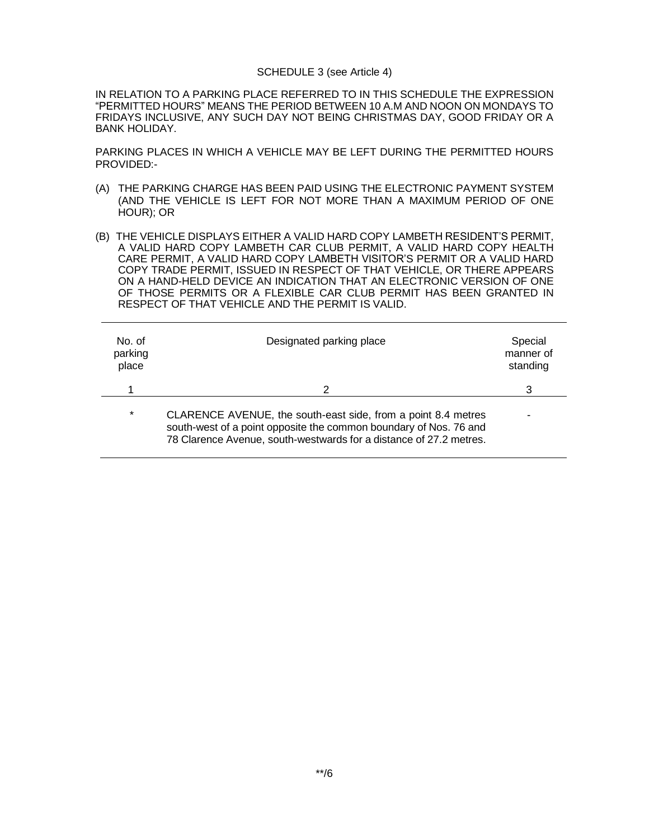#### SCHEDULE 3 (see Article 4)

IN RELATION TO A PARKING PLACE REFERRED TO IN THIS SCHEDULE THE EXPRESSION "PERMITTED HOURS" MEANS THE PERIOD BETWEEN 10 A.M AND NOON ON MONDAYS TO FRIDAYS INCLUSIVE, ANY SUCH DAY NOT BEING CHRISTMAS DAY, GOOD FRIDAY OR A BANK HOLIDAY.

PARKING PLACES IN WHICH A VEHICLE MAY BE LEFT DURING THE PERMITTED HOURS PROVIDED:-

- (A) THE PARKING CHARGE HAS BEEN PAID USING THE ELECTRONIC PAYMENT SYSTEM (AND THE VEHICLE IS LEFT FOR NOT MORE THAN A MAXIMUM PERIOD OF ONE HOUR); OR
- (B) THE VEHICLE DISPLAYS EITHER A VALID HARD COPY LAMBETH RESIDENT'S PERMIT, A VALID HARD COPY LAMBETH CAR CLUB PERMIT, A VALID HARD COPY HEALTH CARE PERMIT, A VALID HARD COPY LAMBETH VISITOR'S PERMIT OR A VALID HARD COPY TRADE PERMIT, ISSUED IN RESPECT OF THAT VEHICLE, OR THERE APPEARS ON A HAND-HELD DEVICE AN INDICATION THAT AN ELECTRONIC VERSION OF ONE OF THOSE PERMITS OR A FLEXIBLE CAR CLUB PERMIT HAS BEEN GRANTED IN RESPECT OF THAT VEHICLE AND THE PERMIT IS VALID.

| No. of<br>parking<br>place | Designated parking place                                                                                                                                                                                 | Special<br>manner of<br>standing |
|----------------------------|----------------------------------------------------------------------------------------------------------------------------------------------------------------------------------------------------------|----------------------------------|
|                            | 2                                                                                                                                                                                                        | 3                                |
| $\star$                    | CLARENCE AVENUE, the south-east side, from a point 8.4 metres<br>south-west of a point opposite the common boundary of Nos. 76 and<br>78 Clarence Avenue, south-westwards for a distance of 27.2 metres. |                                  |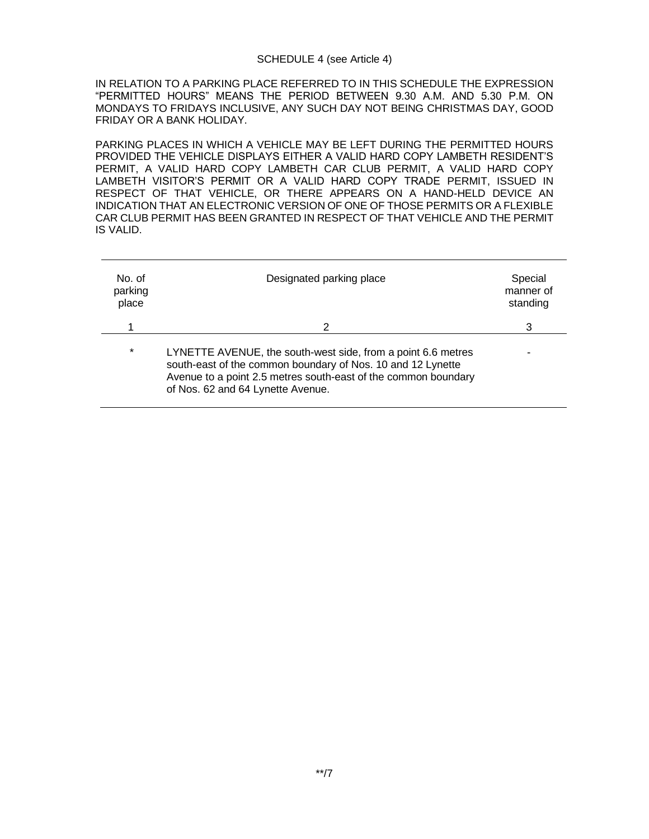### SCHEDULE 4 (see Article 4)

IN RELATION TO A PARKING PLACE REFERRED TO IN THIS SCHEDULE THE EXPRESSION "PERMITTED HOURS" MEANS THE PERIOD BETWEEN 9.30 A.M. AND 5.30 P.M. ON MONDAYS TO FRIDAYS INCLUSIVE, ANY SUCH DAY NOT BEING CHRISTMAS DAY, GOOD FRIDAY OR A BANK HOLIDAY.

PARKING PLACES IN WHICH A VEHICLE MAY BE LEFT DURING THE PERMITTED HOURS PROVIDED THE VEHICLE DISPLAYS EITHER A VALID HARD COPY LAMBETH RESIDENT'S PERMIT, A VALID HARD COPY LAMBETH CAR CLUB PERMIT, A VALID HARD COPY LAMBETH VISITOR'S PERMIT OR A VALID HARD COPY TRADE PERMIT, ISSUED IN RESPECT OF THAT VEHICLE, OR THERE APPEARS ON A HAND-HELD DEVICE AN INDICATION THAT AN ELECTRONIC VERSION OF ONE OF THOSE PERMITS OR A FLEXIBLE CAR CLUB PERMIT HAS BEEN GRANTED IN RESPECT OF THAT VEHICLE AND THE PERMIT IS VALID.

| No. of<br>parking<br>place | Designated parking place                                                                                                                                                                                                           | Special<br>manner of<br>standing |
|----------------------------|------------------------------------------------------------------------------------------------------------------------------------------------------------------------------------------------------------------------------------|----------------------------------|
|                            | 2                                                                                                                                                                                                                                  | 3                                |
| $\star$                    | LYNETTE AVENUE, the south-west side, from a point 6.6 metres<br>south-east of the common boundary of Nos. 10 and 12 Lynette<br>Avenue to a point 2.5 metres south-east of the common boundary<br>of Nos. 62 and 64 Lynette Avenue. |                                  |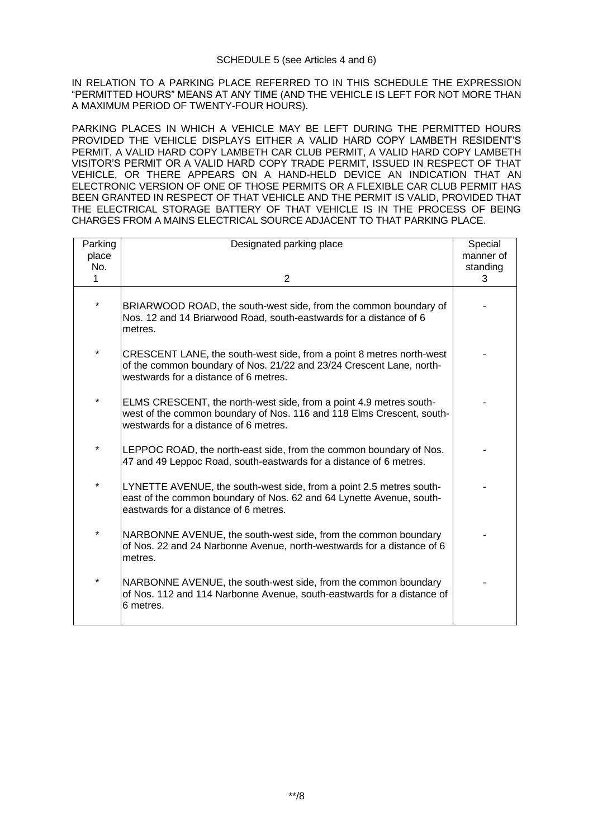IN RELATION TO A PARKING PLACE REFERRED TO IN THIS SCHEDULE THE EXPRESSION "PERMITTED HOURS" MEANS AT ANY TIME (AND THE VEHICLE IS LEFT FOR NOT MORE THAN A MAXIMUM PERIOD OF TWENTY-FOUR HOURS).

PARKING PLACES IN WHICH A VEHICLE MAY BE LEFT DURING THE PERMITTED HOURS PROVIDED THE VEHICLE DISPLAYS EITHER A VALID HARD COPY LAMBETH RESIDENT'S PERMIT, A VALID HARD COPY LAMBETH CAR CLUB PERMIT, A VALID HARD COPY LAMBETH VISITOR'S PERMIT OR A VALID HARD COPY TRADE PERMIT, ISSUED IN RESPECT OF THAT VEHICLE, OR THERE APPEARS ON A HAND-HELD DEVICE AN INDICATION THAT AN ELECTRONIC VERSION OF ONE OF THOSE PERMITS OR A FLEXIBLE CAR CLUB PERMIT HAS BEEN GRANTED IN RESPECT OF THAT VEHICLE AND THE PERMIT IS VALID, PROVIDED THAT THE ELECTRICAL STORAGE BATTERY OF THAT VEHICLE IS IN THE PROCESS OF BEING CHARGES FROM A MAINS ELECTRICAL SOURCE ADJACENT TO THAT PARKING PLACE.

| Parking  | Designated parking place                                                                                                                                                              | Special   |
|----------|---------------------------------------------------------------------------------------------------------------------------------------------------------------------------------------|-----------|
| place    |                                                                                                                                                                                       | manner of |
| No.      |                                                                                                                                                                                       | standing  |
| 1        | $\overline{2}$                                                                                                                                                                        | 3         |
|          |                                                                                                                                                                                       |           |
| $^\star$ | BRIARWOOD ROAD, the south-west side, from the common boundary of<br>Nos. 12 and 14 Briarwood Road, south-eastwards for a distance of 6<br>metres.                                     |           |
| $\star$  | CRESCENT LANE, the south-west side, from a point 8 metres north-west<br>of the common boundary of Nos. 21/22 and 23/24 Crescent Lane, north-<br>westwards for a distance of 6 metres. |           |
| *        | ELMS CRESCENT, the north-west side, from a point 4.9 metres south-<br>west of the common boundary of Nos. 116 and 118 Elms Crescent, south-<br>westwards for a distance of 6 metres.  |           |
| $\ast$   | LEPPOC ROAD, the north-east side, from the common boundary of Nos.<br>47 and 49 Leppoc Road, south-eastwards for a distance of 6 metres.                                              |           |
| *        | LYNETTE AVENUE, the south-west side, from a point 2.5 metres south-<br>east of the common boundary of Nos. 62 and 64 Lynette Avenue, south-<br>eastwards for a distance of 6 metres.  |           |
| $\star$  | NARBONNE AVENUE, the south-west side, from the common boundary<br>of Nos. 22 and 24 Narbonne Avenue, north-westwards for a distance of 6<br>metres.                                   |           |
| $\star$  | NARBONNE AVENUE, the south-west side, from the common boundary<br>of Nos. 112 and 114 Narbonne Avenue, south-eastwards for a distance of<br>6 metres.                                 |           |